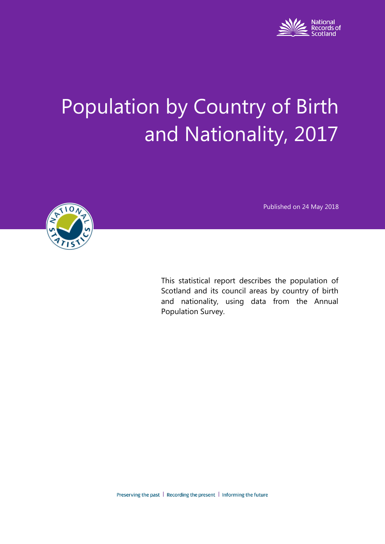

# Population by Country of Birth and Nationality, 2017

Published on 24 May 2018



This statistical report describes the population of Scotland and its council areas by country of birth and nationality, using data from the Annual Population Survey.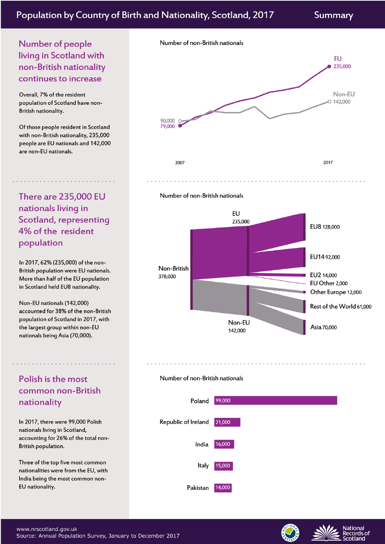# Population by Country of Birth and Nationality, Scotland, 2017

Summary

# Number of people living in Scotland with non-British nationality continues to increase

Overall, 7% of the resident population of Scotland have non-British nationality.

Of those people resident in Scotland with non-British nationality, 235,000 people are EU nationals and 142,000 are non-EU nationals.

**There are 235,000 EU** nationals living in Scotland, representing 4% of the resident population

In 2017, 62% (235,000) of the non-British population were EU nationals. More than half of the EU population in Scotland held EU8 nationality.

Non-EU nationals (142,000) accounted for 38% of the non-British population of Scotland in 2017, with the largest group within non-EU nationals being Asia (70,000).

# Polish is the most common non-British nationality

In 2017, there were 99,000 Polish nationals living in Scotland, accounting for 26% of the total non-British population.

Three of the top five most common nationalities were from the EU, with India being the most common non-EU nationality.









#### Number of non-British nationals



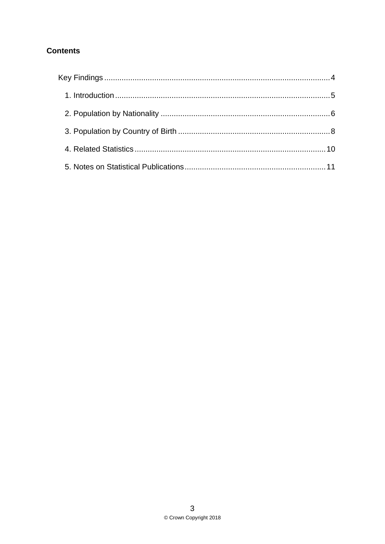# **Contents**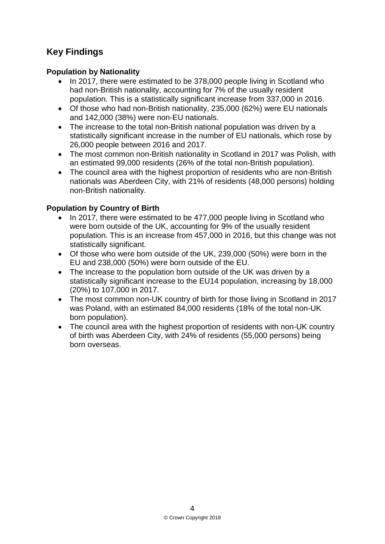# <span id="page-3-0"></span>**Key Findings**

### **Population by Nationality**

- In 2017, there were estimated to be 378,000 people living in Scotland who had non-British nationality, accounting for 7% of the usually resident population. This is a statistically significant increase from 337,000 in 2016.
- Of those who had non-British nationality, 235,000 (62%) were EU nationals and 142,000 (38%) were non-EU nationals.
- The increase to the total non-British national population was driven by a statistically significant increase in the number of EU nationals, which rose by 26,000 people between 2016 and 2017.
- The most common non-British nationality in Scotland in 2017 was Polish, with an estimated 99,000 residents (26% of the total non-British population).
- The council area with the highest proportion of residents who are non-British nationals was Aberdeen City, with 21% of residents (48,000 persons) holding non-British nationality.

## **Population by Country of Birth**

- In 2017, there were estimated to be 477,000 people living in Scotland who were born outside of the UK, accounting for 9% of the usually resident population. This is an increase from 457,000 in 2016, but this change was not statistically significant.
- Of those who were born outside of the UK, 239,000 (50%) were born in the EU and 238,000 (50%) were born outside of the EU.
- The increase to the population born outside of the UK was driven by a statistically significant increase to the EU14 population, increasing by 18,000 (20%) to 107,000 in 2017.
- The most common non-UK country of birth for those living in Scotland in 2017 was Poland, with an estimated 84,000 residents (18% of the total non-UK born population).
- The council area with the highest proportion of residents with non-UK country of birth was Aberdeen City, with 24% of residents (55,000 persons) being born overseas.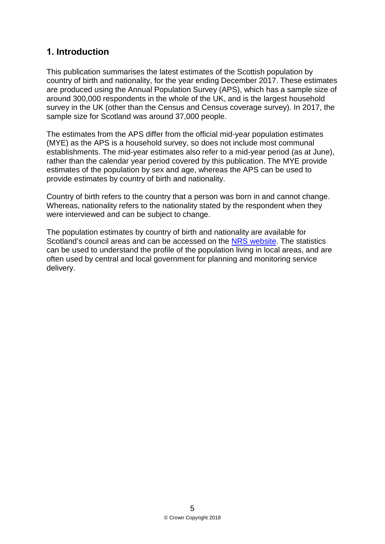# <span id="page-4-0"></span>**1. Introduction**

This publication summarises the latest estimates of the Scottish population by country of birth and nationality, for the year ending December 2017. These estimates are produced using the Annual Population Survey (APS), which has a sample size of around 300,000 respondents in the whole of the UK, and is the largest household survey in the UK (other than the Census and Census coverage survey). In 2017, the sample size for Scotland was around 37,000 people.

The estimates from the APS differ from the official mid-year population estimates (MYE) as the APS is a household survey, so does not include most communal establishments. The mid-year estimates also refer to a mid-year period (as at June), rather than the calendar year period covered by this publication. The MYE provide estimates of the population by sex and age, whereas the APS can be used to provide estimates by country of birth and nationality.

Country of birth refers to the country that a person was born in and cannot change. Whereas, nationality refers to the nationality stated by the respondent when they were interviewed and can be subject to change.

The population estimates by country of birth and nationality are available for Scotland's council areas and can be accessed on the [NRS website.](https://www.nrscotland.gov.uk/statistics-and-data/statistics/statistics-by-theme/population/population-estimates/population-by-country-of-birth-and-nationality) The statistics can be used to understand the profile of the population living in local areas, and are often used by central and local government for planning and monitoring service delivery.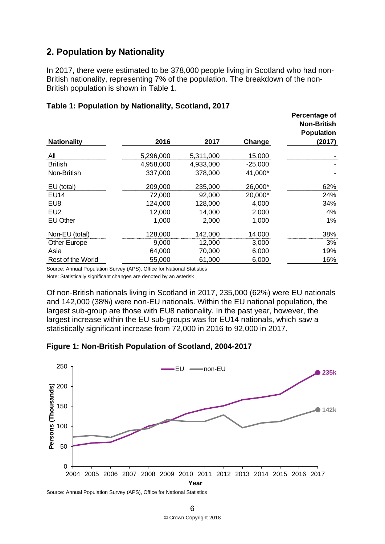# <span id="page-5-0"></span>**2. Population by Nationality**

In 2017, there were estimated to be 378,000 people living in Scotland who had non-British nationality, representing 7% of the population. The breakdown of the non-British population is shown in Table 1.

| 2016      | 2017      | Change    | Percentage of<br><b>Non-British</b><br><b>Population</b><br>(2017) |
|-----------|-----------|-----------|--------------------------------------------------------------------|
| 5,296,000 | 5,311,000 | 15,000    |                                                                    |
| 4,958,000 | 4,933,000 | $-25,000$ |                                                                    |
| 337,000   | 378,000   | 41,000*   |                                                                    |
| 209,000   | 235,000   | 26,000*   | 62%                                                                |
| 72,000    | 92,000    | 20,000*   | 24%                                                                |
| 124,000   | 128,000   | 4,000     | 34%                                                                |
| 12,000    | 14,000    | 2,000     | 4%                                                                 |
| 1,000     | 2,000     | 1,000     | 1%                                                                 |
| 128,000   | 142,000   | 14,000    | 38%                                                                |
| 9,000     | 12,000    | 3,000     | 3%                                                                 |
| 64,000    | 70,000    | 6,000     | 19%                                                                |
| 55.000    | 61,000    | 6,000     | 16%                                                                |
|           |           |           |                                                                    |

#### **Table 1: Population by Nationality, Scotland, 2017**

Source: Annual Population Survey (APS), Office for National Statistics

Note: Statistically significant changes are denoted by an asterisk

Of non-British nationals living in Scotland in 2017, 235,000 (62%) were EU nationals and 142,000 (38%) were non-EU nationals. Within the EU national population, the largest sub-group are those with EU8 nationality. In the past year, however, the largest increase within the EU sub-groups was for EU14 nationals, which saw a statistically significant increase from 72,000 in 2016 to 92,000 in 2017.





Source: Annual Population Survey (APS), Office for National Statistics

 6 © Crown Copyright 2018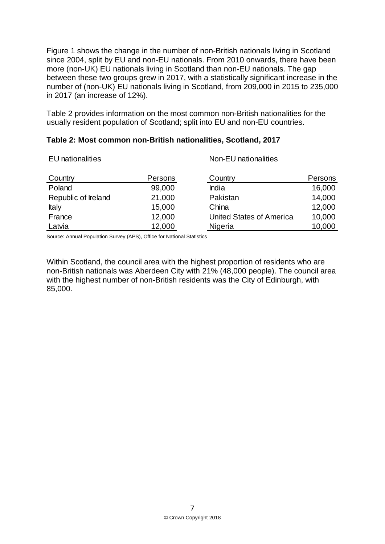Figure 1 shows the change in the number of non-British nationals living in Scotland since 2004, split by EU and non-EU nationals. From 2010 onwards, there have been more (non-UK) EU nationals living in Scotland than non-EU nationals. The gap between these two groups grew in 2017, with a statistically significant increase in the number of (non-UK) EU nationals living in Scotland, from 209,000 in 2015 to 235,000 in 2017 (an increase of 12%).

Table 2 provides information on the most common non-British nationalities for the usually resident population of Scotland; split into EU and non-EU countries.

|  | Table 2: Most common non-British nationalities, Scotland, 2017 |  |
|--|----------------------------------------------------------------|--|
|--|----------------------------------------------------------------|--|

| <b>EU</b> nationalities |         | Non-EU nationalities            |         |  |  |
|-------------------------|---------|---------------------------------|---------|--|--|
| Country                 | Persons | Country                         | Persons |  |  |
| Poland                  | 99,000  | India                           | 16,000  |  |  |
| Republic of Ireland     | 21,000  | Pakistan                        | 14,000  |  |  |
| Italy                   | 15,000  | China                           | 12,000  |  |  |
| France                  | 12,000  | <b>United States of America</b> | 10,000  |  |  |
| Latvia                  | 12,000  | Nigeria                         | 10,000  |  |  |

Source: Annual Population Survey (APS), Office for National Statistics

Within Scotland, the council area with the highest proportion of residents who are non-British nationals was Aberdeen City with 21% (48,000 people). The council area with the highest number of non-British residents was the City of Edinburgh, with 85,000.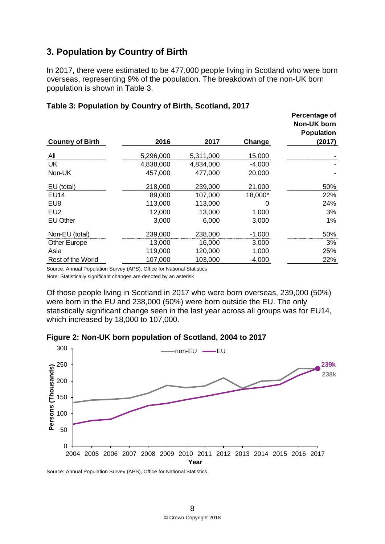# <span id="page-7-0"></span>**3. Population by Country of Birth**

In 2017, there were estimated to be 477,000 people living in Scotland who were born overseas, representing 9% of the population. The breakdown of the non-UK born population is shown in Table 3.

| <b>Country of Birth</b> | 2016      | 2017      | Change   | Percentage of<br><b>Non-UK born</b><br><b>Population</b><br>(2017) |
|-------------------------|-----------|-----------|----------|--------------------------------------------------------------------|
| All                     | 5,296,000 | 5,311,000 | 15,000   |                                                                    |
| UK                      | 4,838,000 | 4,834,000 | $-4,000$ |                                                                    |
| Non-UK                  | 457,000   | 477,000   | 20,000   |                                                                    |
| EU (total)              | 218,000   | 239,000   | 21,000   | 50%                                                                |
| EU14                    | 89,000    | 107,000   | 18,000*  | 22%                                                                |
| EU8                     | 113,000   | 113,000   | 0        | 24%                                                                |
| EU <sub>2</sub>         | 12,000    | 13,000    | 1,000    | 3%                                                                 |
| <b>EU Other</b>         | 3,000     | 6,000     | 3,000    | 1%                                                                 |
| Non-EU (total)          | 239,000   | 238,000   | $-1,000$ | 50%                                                                |
| <b>Other Europe</b>     | 13,000    | 16,000    | 3,000    | 3%                                                                 |
| Asia                    | 119,000   | 120,000   | 1,000    | 25%                                                                |
| Rest of the World       | 107,000   | 103,000   | -4,000   | 22%                                                                |

#### **Table 3: Population by Country of Birth, Scotland, 2017**

Source: Annual Population Survey (APS), Office for National Statistics

Note: Statistically significant changes are denoted by an asterisk

Of those people living in Scotland in 2017 who were born overseas, 239,000 (50%) were born in the EU and 238,000 (50%) were born outside the EU. The only statistically significant change seen in the last year across all groups was for EU14, which increased by 18,000 to 107,000.





Source: Annual Population Survey (APS), Office for National Statistics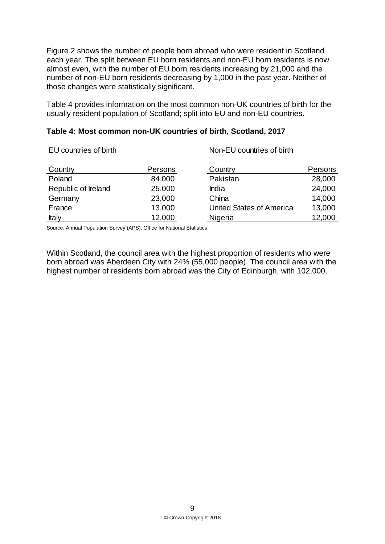Figure 2 shows the number of people born abroad who were resident in Scotland each year. The split between EU born residents and non-EU born residents is now almost even, with the number of EU born residents increasing by 21,000 and the number of non-EU born residents decreasing by 1,000 in the past year. Neither of those changes were statistically significant.

Table 4 provides information on the most common non-UK countries of birth for the usually resident population of Scotland; split into EU and non-EU countries.

#### **Table 4: Most common non-UK countries of birth, Scotland, 2017**

EU countries of birth Non-EU countries of birth

| Country             | Persons | Country                  | Persons |
|---------------------|---------|--------------------------|---------|
| Poland              | 84,000  | Pakistan                 | 28,000  |
| Republic of Ireland | 25,000  | India                    | 24,000  |
| Germany             | 23,000  | China                    | 14,000  |
| France              | 13,000  | United States of America | 13,000  |
| Italy               | 12,000  | Nigeria                  | 12,000  |

Source: Annual Population Survey (APS), Office for National Statistics

Within Scotland, the council area with the highest proportion of residents who were born abroad was Aberdeen City with 24% (55,000 people). The council area with the highest number of residents born abroad was the City of Edinburgh, with 102,000.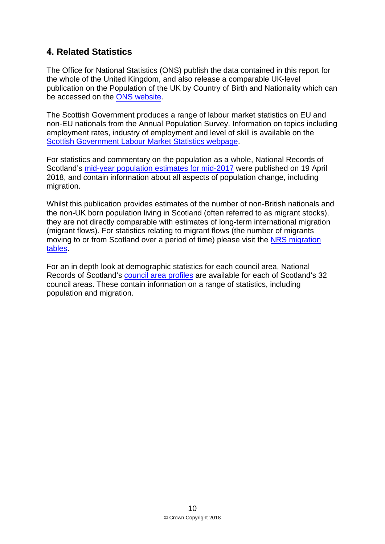# <span id="page-9-0"></span>**4. Related Statistics**

The Office for National Statistics (ONS) publish the data contained in this report for the whole of the United Kingdom, and also release a comparable UK-level publication on the Population of the UK by Country of Birth and Nationality which can be accessed on the [ONS website.](https://www.ons.gov.uk/peoplepopulationandcommunity/populationandmigration/internationalmigration/bulletins/ukpopulationbycountryofbirthandnationality/previousReleases)

The Scottish Government produces a range of labour market statistics on EU and non-EU nationals from the Annual Population Survey. Information on topics including employment rates, industry of employment and level of skill is available on the Scottish Government [Labour Market Statistics webpage.](http://www.gov.scot/Topics/Statistics/Browse/Labour-Market/Publications-Topical)

For statistics and commentary on the population as a whole, National Records of Scotland's mid-year [population estimates for mid-2017](https://www.nrscotland.gov.uk/statistics-and-data/statistics/statistics-by-theme/population/population-estimates/mid-year-population-estimates/mid-2017) were published on 19 April 2018, and contain information about all aspects of population change, including migration.

Whilst this publication provides estimates of the number of non-British nationals and the non-UK born population living in Scotland (often referred to as migrant stocks), they are not directly comparable with estimates of long-term international migration (migrant flows). For statistics relating to migrant flows (the number of migrants moving to or from Scotland over a period of time) please visit the [NRS migration](https://www.nrscotland.gov.uk/statistics-and-data/statistics/statistics-by-theme/migration/migration-statistics) [tables.](https://www.nrscotland.gov.uk/statistics-and-data/statistics/statistics-by-theme/migration/migration-statistics)

For an in depth look at demographic statistics for each council area, National Records of Scotland's [council area profiles](https://www.nrscotland.gov.uk/statistics-and-data/statistics/stats-at-a-glance/council-area-profiles) are available for each of Scotland's 32 council areas. These contain information on a range of statistics, including population and migration.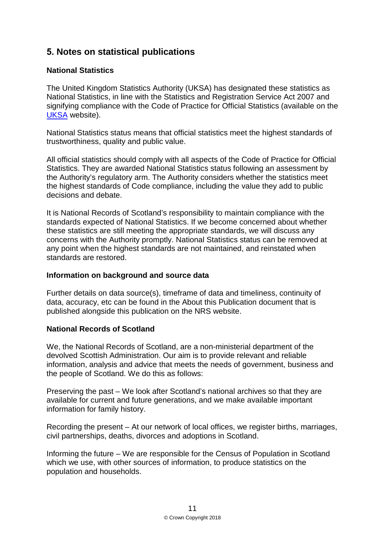# <span id="page-10-0"></span>**5. Notes on statistical publications**

#### **National Statistics**

The United Kingdom Statistics Authority (UKSA) has designated these statistics as National Statistics, in line with the Statistics and Registration Service Act 2007 and signifying compliance with the Code of Practice for Official Statistics (available on the [UKSA](http://www.statisticsauthority.gov.uk/assessment/code-of-practice) website).

National Statistics status means that official statistics meet the highest standards of trustworthiness, quality and public value.

All official statistics should comply with all aspects of the Code of Practice for Official Statistics. They are awarded National Statistics status following an assessment by the Authority's regulatory arm. The Authority considers whether the statistics meet the highest standards of Code compliance, including the value they add to public decisions and debate.

It is National Records of Scotland's responsibility to maintain compliance with the standards expected of National Statistics. If we become concerned about whether these statistics are still meeting the appropriate standards, we will discuss any concerns with the Authority promptly. National Statistics status can be removed at any point when the highest standards are not maintained, and reinstated when standards are restored.

#### **Information on background and source data**

Further details on data source(s), timeframe of data and timeliness, continuity of data, accuracy, etc can be found in the About this Publication document that is published alongside this publication on the NRS website.

#### **National Records of Scotland**

We, the National Records of Scotland, are a non-ministerial department of the devolved Scottish Administration. Our aim is to provide relevant and reliable information, analysis and advice that meets the needs of government, business and the people of Scotland. We do this as follows:

Preserving the past – We look after Scotland's national archives so that they are available for current and future generations, and we make available important information for family history.

Recording the present – At our network of local offices, we register births, marriages, civil partnerships, deaths, divorces and adoptions in Scotland.

Informing the future – We are responsible for the Census of Population in Scotland which we use, with other sources of information, to produce statistics on the population and households.